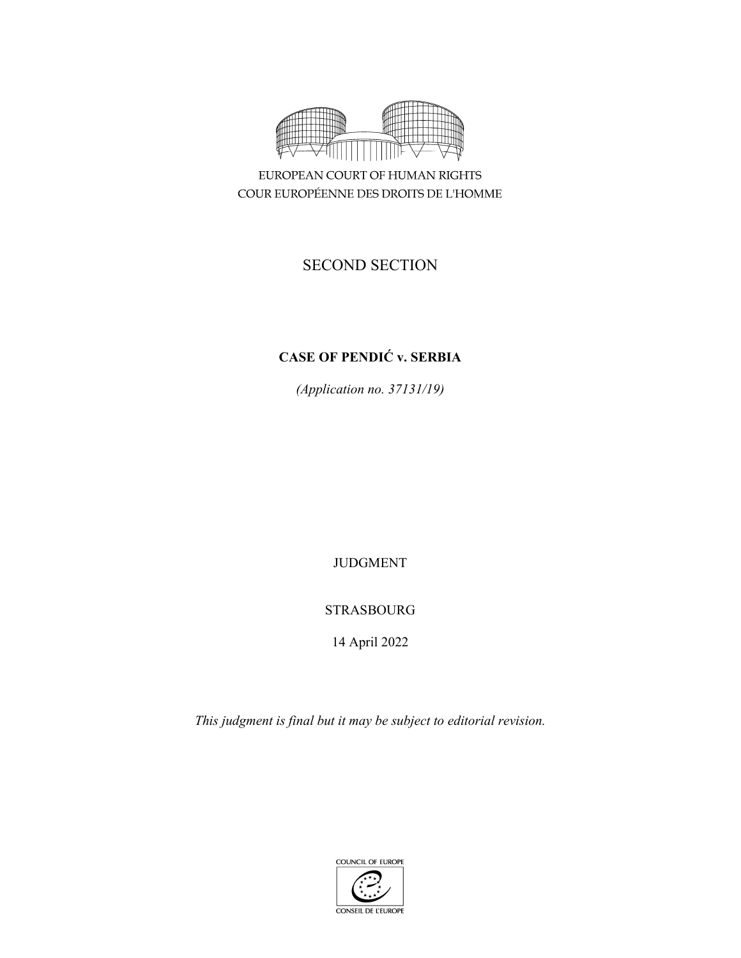

EUROPEAN COURT OF HUMAN RIGHTS COUR EUROPÉENNE DES DROITS DE L'HOMME

# SECOND SECTION

# **CASE OF PENDIĆ v. SERBIA**

*(Application no. 37131/19)* 

JUDGMENT

# STRASBOURG

14 April 2022

*This judgment is final but it may be subject to editorial revision.*

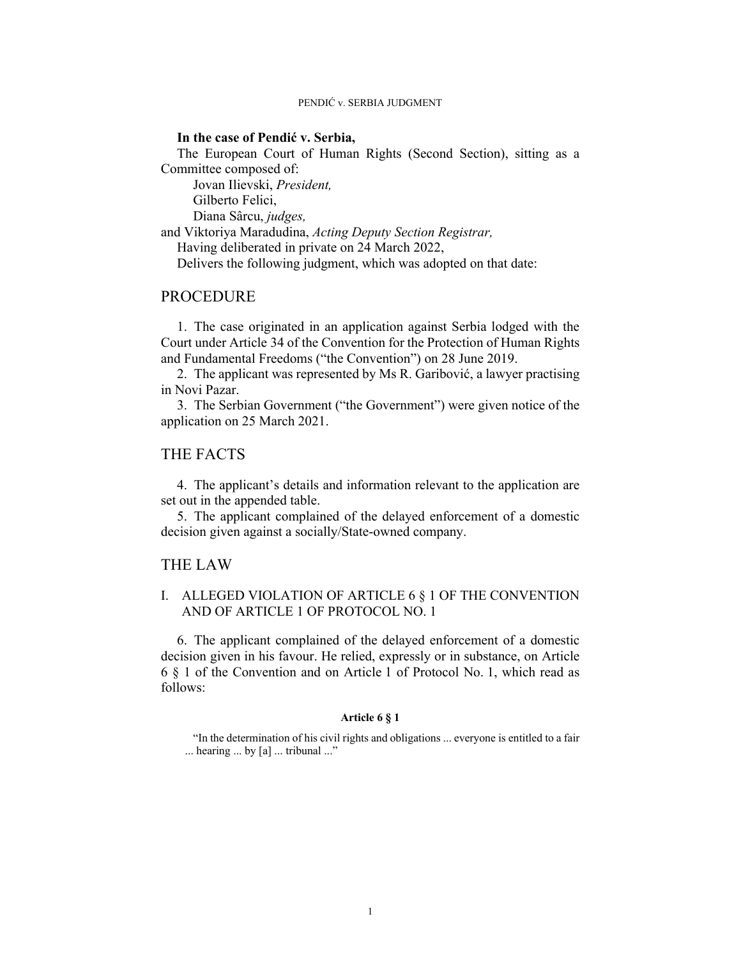### **In the case of Pendić v. Serbia,**

The European Court of Human Rights (Second Section), sitting as a Committee composed of:

 Jovan Ilievski, *President,*  Gilberto Felici,

Diana Sârcu, *judges,*

and Viktoriya Maradudina, *Acting Deputy Section Registrar,*

Having deliberated in private on 24 March 2022,

Delivers the following judgment, which was adopted on that date:

## **PROCEDURE**

1. The case originated in an application against Serbia lodged with the Court under Article 34 of the Convention for the Protection of Human Rights and Fundamental Freedoms ("the Convention") on 28 June 2019.

2. The applicant was represented by Ms R. Garibović, a lawyer practising in Novi Pazar.

3. The Serbian Government ("the Government") were given notice of the application on 25 March 2021.

## THE FACTS

4. The applicant's details and information relevant to the application are set out in the appended table.

5. The applicant complained of the delayed enforcement of a domestic decision given against a socially/State-owned company.

### THE LAW

## I. ALLEGED VIOLATION OF ARTICLE 6 § 1 OF THE CONVENTION AND OF ARTICLE 1 OF PROTOCOL NO. 1

6. The applicant complained of the delayed enforcement of a domestic decision given in his favour. He relied, expressly or in substance, on Article 6 § 1 of the Convention and on Article 1 of Protocol No. 1, which read as follows:

#### **Article 6 § 1**

"In the determination of his civil rights and obligations ... everyone is entitled to a fair ... hearing ... by [a] ... tribunal ..."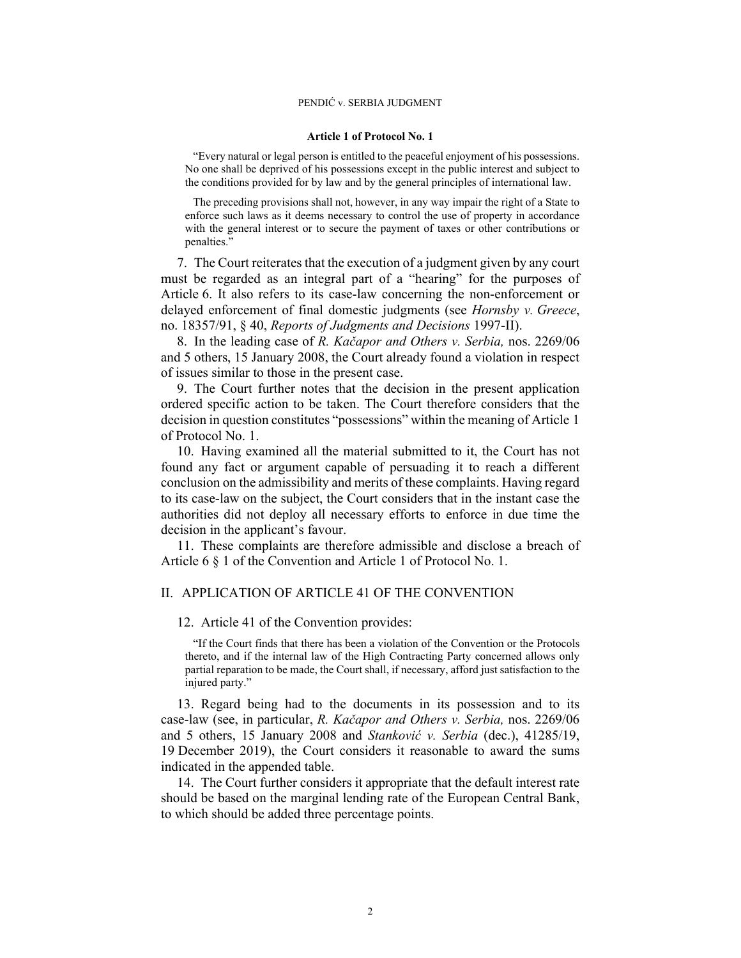#### **Article 1 of Protocol No. 1**

"Every natural or legal person is entitled to the peaceful enjoyment of his possessions. No one shall be deprived of his possessions except in the public interest and subject to the conditions provided for by law and by the general principles of international law.

The preceding provisions shall not, however, in any way impair the right of a State to enforce such laws as it deems necessary to control the use of property in accordance with the general interest or to secure the payment of taxes or other contributions or penalties."

7. The Court reiterates that the execution of a judgment given by any court must be regarded as an integral part of a "hearing" for the purposes of Article 6. It also refers to its case-law concerning the non-enforcement or delayed enforcement of final domestic judgments (see *Hornsby v. Greece*, no. 18357/91, § 40, *Reports of Judgments and Decisions* 1997-II).

8. In the leading case of *R. Kačapor and Others v. Serbia,* nos. 2269/06 and 5 others, 15 January 2008, the Court already found a violation in respect of issues similar to those in the present case.

9. The Court further notes that the decision in the present application ordered specific action to be taken. The Court therefore considers that the decision in question constitutes "possessions" within the meaning of Article 1 of Protocol No. 1.

10. Having examined all the material submitted to it, the Court has not found any fact or argument capable of persuading it to reach a different conclusion on the admissibility and merits of these complaints. Having regard to its case-law on the subject, the Court considers that in the instant case the authorities did not deploy all necessary efforts to enforce in due time the decision in the applicant's favour.

11. These complaints are therefore admissible and disclose a breach of Article 6 § 1 of the Convention and Article 1 of Protocol No. 1.

### II. APPLICATION OF ARTICLE 41 OF THE CONVENTION

#### 12. Article 41 of the Convention provides:

"If the Court finds that there has been a violation of the Convention or the Protocols thereto, and if the internal law of the High Contracting Party concerned allows only partial reparation to be made, the Court shall, if necessary, afford just satisfaction to the injured party."

13. Regard being had to the documents in its possession and to its case-law (see, in particular, *R. Kačapor and Others v. Serbia,* nos. 2269/06 and 5 others, 15 January 2008 and *Stanković v. Serbia* (dec.), 41285/19, 19 December 2019), the Court considers it reasonable to award the sums indicated in the appended table.

14. The Court further considers it appropriate that the default interest rate should be based on the marginal lending rate of the European Central Bank, to which should be added three percentage points.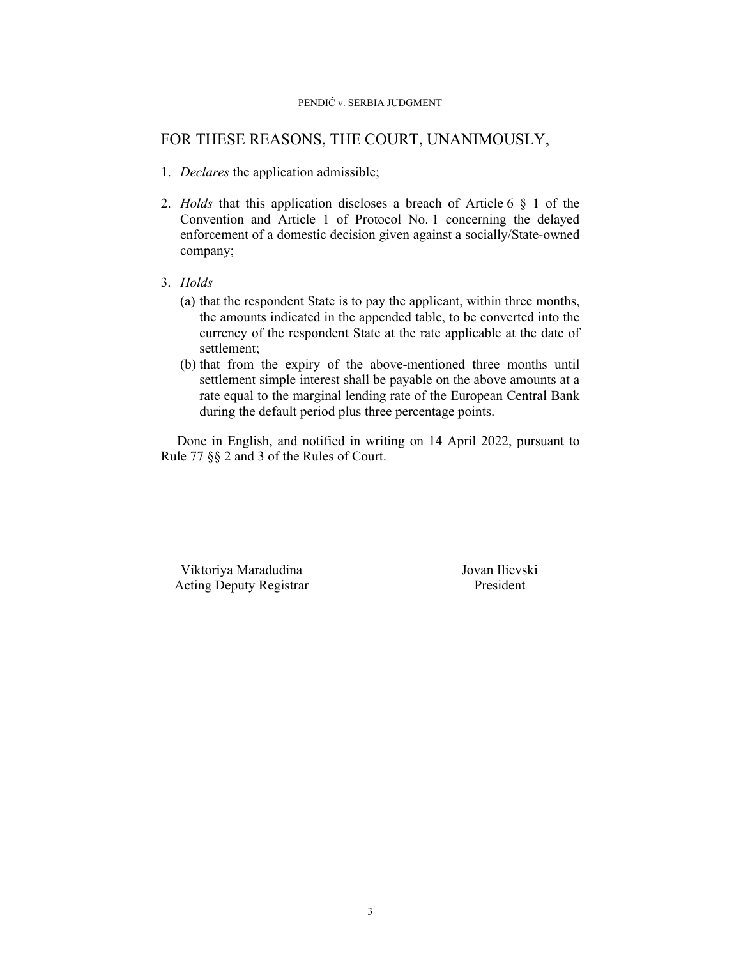## FOR THESE REASONS, THE COURT, UNANIMOUSLY,

- 1. *Declares* the application admissible;
- 2. *Holds* that this application discloses a breach of Article 6 § 1 of the Convention and Article 1 of Protocol No. 1 concerning the delayed enforcement of a domestic decision given against a socially/State-owned company;
- 3. *Holds*
	- (a) that the respondent State is to pay the applicant, within three months, the amounts indicated in the appended table, to be converted into the currency of the respondent State at the rate applicable at the date of settlement;
	- (b) that from the expiry of the above-mentioned three months until settlement simple interest shall be payable on the above amounts at a rate equal to the marginal lending rate of the European Central Bank during the default period plus three percentage points.

Done in English, and notified in writing on 14 April 2022, pursuant to Rule 77 §§ 2 and 3 of the Rules of Court.

 Viktoriya Maradudina Jovan Ilievski Acting Deputy Registrar President